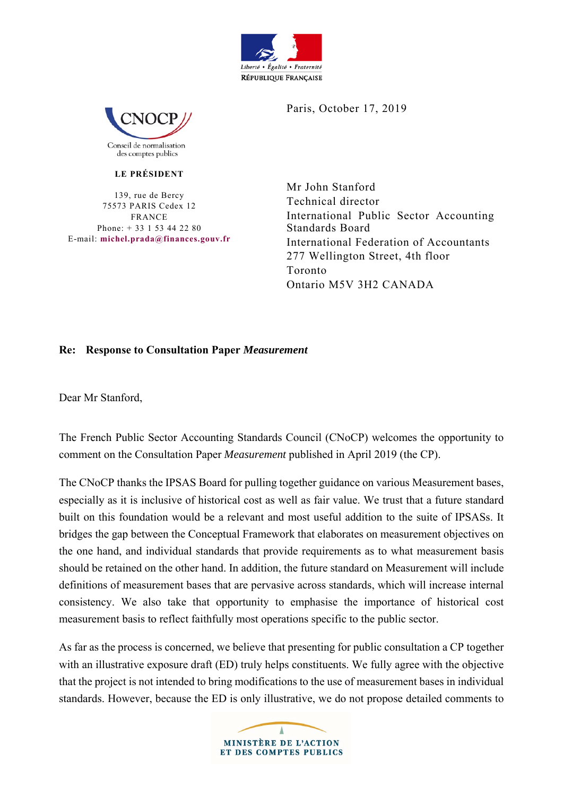

**NOCP** Conseil de normalisation des comptes publics

#### **LE PRÉSIDENT**

139, rue de Bercy 75573 PARIS Cedex 12 FRANCE Phone: + 33 1 53 44 22 80 E-mail: **michel.prada@finances.gouv.fr** Paris, October 17, 2019

Mr John Stanford Technical director International Public Sector Accounting Standards Board International Federation of Accountants 277 Wellington Street, 4th floor Toronto Ontario M5V 3H2 CANADA

#### **Re: Response to Consultation Paper** *Measurement*

Dear Mr Stanford,

The French Public Sector Accounting Standards Council (CNoCP) welcomes the opportunity to comment on the Consultation Paper *Measurement* published in April 2019 (the CP).

The CNoCP thanks the IPSAS Board for pulling together guidance on various Measurement bases, especially as it is inclusive of historical cost as well as fair value. We trust that a future standard built on this foundation would be a relevant and most useful addition to the suite of IPSASs. It bridges the gap between the Conceptual Framework that elaborates on measurement objectives on the one hand, and individual standards that provide requirements as to what measurement basis should be retained on the other hand. In addition, the future standard on Measurement will include definitions of measurement bases that are pervasive across standards, which will increase internal consistency. We also take that opportunity to emphasise the importance of historical cost measurement basis to reflect faithfully most operations specific to the public sector.

As far as the process is concerned, we believe that presenting for public consultation a CP together with an illustrative exposure draft (ED) truly helps constituents. We fully agree with the objective that the project is not intended to bring modifications to the use of measurement bases in individual standards. However, because the ED is only illustrative, we do not propose detailed comments to

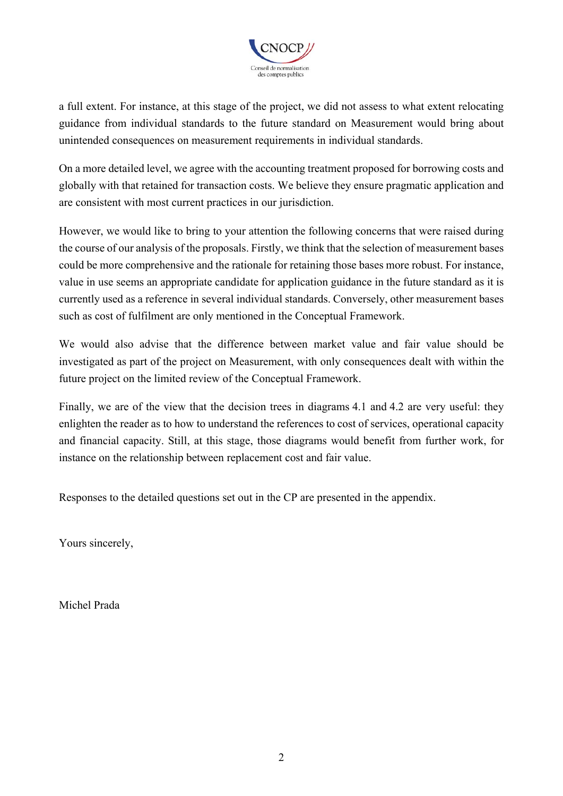

a full extent. For instance, at this stage of the project, we did not assess to what extent relocating guidance from individual standards to the future standard on Measurement would bring about unintended consequences on measurement requirements in individual standards.

On a more detailed level, we agree with the accounting treatment proposed for borrowing costs and globally with that retained for transaction costs. We believe they ensure pragmatic application and are consistent with most current practices in our jurisdiction.

However, we would like to bring to your attention the following concerns that were raised during the course of our analysis of the proposals. Firstly, we think that the selection of measurement bases could be more comprehensive and the rationale for retaining those bases more robust. For instance, value in use seems an appropriate candidate for application guidance in the future standard as it is currently used as a reference in several individual standards. Conversely, other measurement bases such as cost of fulfilment are only mentioned in the Conceptual Framework.

We would also advise that the difference between market value and fair value should be investigated as part of the project on Measurement, with only consequences dealt with within the future project on the limited review of the Conceptual Framework.

Finally, we are of the view that the decision trees in diagrams 4.1 and 4.2 are very useful: they enlighten the reader as to how to understand the references to cost of services, operational capacity and financial capacity. Still, at this stage, those diagrams would benefit from further work, for instance on the relationship between replacement cost and fair value.

Responses to the detailed questions set out in the CP are presented in the appendix.

Yours sincerely,

Michel Prada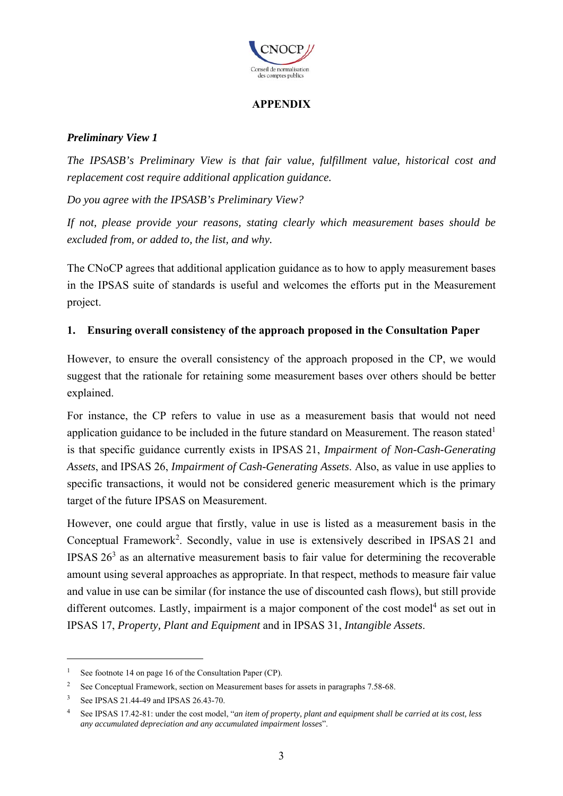

# **APPENDIX**

# *Preliminary View 1*

*The IPSASB's Preliminary View is that fair value, fulfillment value, historical cost and replacement cost require additional application guidance.* 

*Do you agree with the IPSASB's Preliminary View?* 

*If not, please provide your reasons, stating clearly which measurement bases should be excluded from, or added to, the list, and why.* 

The CNoCP agrees that additional application guidance as to how to apply measurement bases in the IPSAS suite of standards is useful and welcomes the efforts put in the Measurement project.

# **1. Ensuring overall consistency of the approach proposed in the Consultation Paper**

However, to ensure the overall consistency of the approach proposed in the CP, we would suggest that the rationale for retaining some measurement bases over others should be better explained.

For instance, the CP refers to value in use as a measurement basis that would not need application guidance to be included in the future standard on Measurement. The reason stated  $1$ is that specific guidance currently exists in IPSAS 21, *Impairment of Non-Cash-Generating Assets*, and IPSAS 26, *Impairment of Cash-Generating Assets*. Also, as value in use applies to specific transactions, it would not be considered generic measurement which is the primary target of the future IPSAS on Measurement.

However, one could argue that firstly, value in use is listed as a measurement basis in the Conceptual Framework<sup>2</sup>. Secondly, value in use is extensively described in IPSAS 21 and IPSAS  $26<sup>3</sup>$  as an alternative measurement basis to fair value for determining the recoverable amount using several approaches as appropriate. In that respect, methods to measure fair value and value in use can be similar (for instance the use of discounted cash flows), but still provide different outcomes. Lastly, impairment is a major component of the cost model<sup>4</sup> as set out in IPSAS 17, *Property, Plant and Equipment* and in IPSAS 31, *Intangible Assets*.

<u>.</u>

<sup>&</sup>lt;sup>1</sup> See footnote 14 on page 16 of the Consultation Paper (CP).

<sup>&</sup>lt;sup>2</sup> See Conceptual Framework, section on Measurement bases for assets in paragraphs 7.58-68.

<sup>3</sup> See IPSAS 21.44-49 and IPSAS 26.43-70.

<sup>4</sup> See IPSAS 17.42-81: under the cost model, "*an item of property, plant and equipment shall be carried at its cost, less any accumulated depreciation and any accumulated impairment losses*".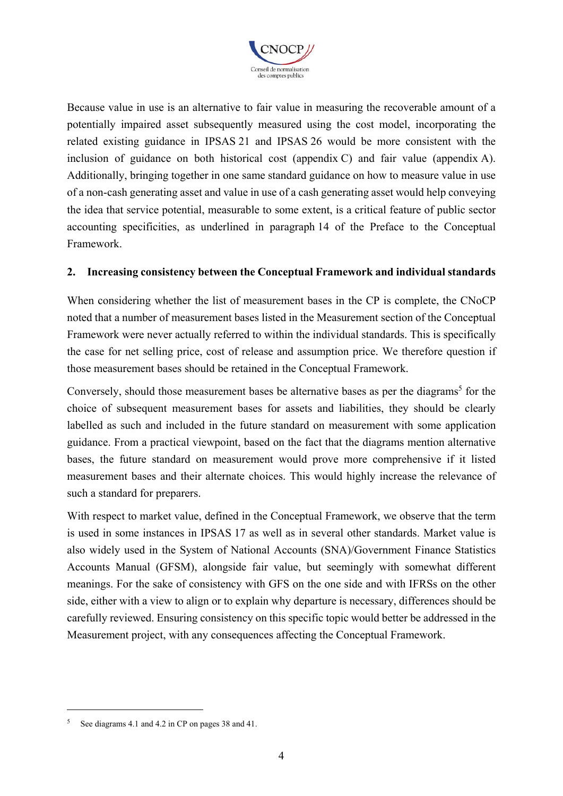

Because value in use is an alternative to fair value in measuring the recoverable amount of a potentially impaired asset subsequently measured using the cost model, incorporating the related existing guidance in IPSAS 21 and IPSAS 26 would be more consistent with the inclusion of guidance on both historical cost (appendix C) and fair value (appendix A). Additionally, bringing together in one same standard guidance on how to measure value in use of a non-cash generating asset and value in use of a cash generating asset would help conveying the idea that service potential, measurable to some extent, is a critical feature of public sector accounting specificities, as underlined in paragraph 14 of the Preface to the Conceptual Framework.

### **2. Increasing consistency between the Conceptual Framework and individual standards**

When considering whether the list of measurement bases in the CP is complete, the CNoCP noted that a number of measurement bases listed in the Measurement section of the Conceptual Framework were never actually referred to within the individual standards. This is specifically the case for net selling price, cost of release and assumption price. We therefore question if those measurement bases should be retained in the Conceptual Framework.

Conversely, should those measurement bases be alternative bases as per the diagrams<sup>5</sup> for the choice of subsequent measurement bases for assets and liabilities, they should be clearly labelled as such and included in the future standard on measurement with some application guidance. From a practical viewpoint, based on the fact that the diagrams mention alternative bases, the future standard on measurement would prove more comprehensive if it listed measurement bases and their alternate choices. This would highly increase the relevance of such a standard for preparers.

With respect to market value, defined in the Conceptual Framework, we observe that the term is used in some instances in IPSAS 17 as well as in several other standards. Market value is also widely used in the System of National Accounts (SNA)/Government Finance Statistics Accounts Manual (GFSM), alongside fair value, but seemingly with somewhat different meanings. For the sake of consistency with GFS on the one side and with IFRSs on the other side, either with a view to align or to explain why departure is necessary, differences should be carefully reviewed. Ensuring consistency on this specific topic would better be addressed in the Measurement project, with any consequences affecting the Conceptual Framework.

1

<sup>5</sup> See diagrams 4.1 and 4.2 in CP on pages 38 and 41.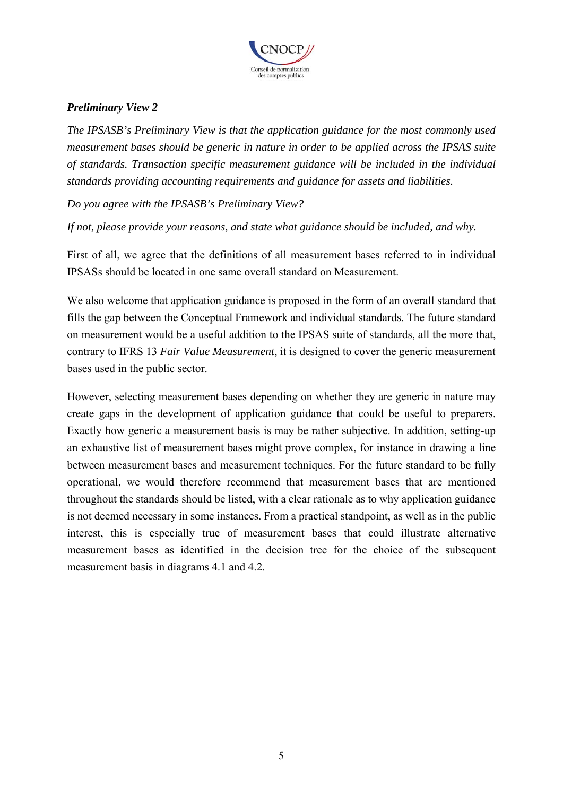

# *Preliminary View 2*

*The IPSASB's Preliminary View is that the application guidance for the most commonly used measurement bases should be generic in nature in order to be applied across the IPSAS suite of standards. Transaction specific measurement guidance will be included in the individual standards providing accounting requirements and guidance for assets and liabilities.* 

*Do you agree with the IPSASB's Preliminary View?* 

*If not, please provide your reasons, and state what guidance should be included, and why.* 

First of all, we agree that the definitions of all measurement bases referred to in individual IPSASs should be located in one same overall standard on Measurement.

We also welcome that application guidance is proposed in the form of an overall standard that fills the gap between the Conceptual Framework and individual standards. The future standard on measurement would be a useful addition to the IPSAS suite of standards, all the more that, contrary to IFRS 13 *Fair Value Measurement*, it is designed to cover the generic measurement bases used in the public sector.

However, selecting measurement bases depending on whether they are generic in nature may create gaps in the development of application guidance that could be useful to preparers. Exactly how generic a measurement basis is may be rather subjective. In addition, setting-up an exhaustive list of measurement bases might prove complex, for instance in drawing a line between measurement bases and measurement techniques. For the future standard to be fully operational, we would therefore recommend that measurement bases that are mentioned throughout the standards should be listed, with a clear rationale as to why application guidance is not deemed necessary in some instances. From a practical standpoint, as well as in the public interest, this is especially true of measurement bases that could illustrate alternative measurement bases as identified in the decision tree for the choice of the subsequent measurement basis in diagrams 4.1 and 4.2.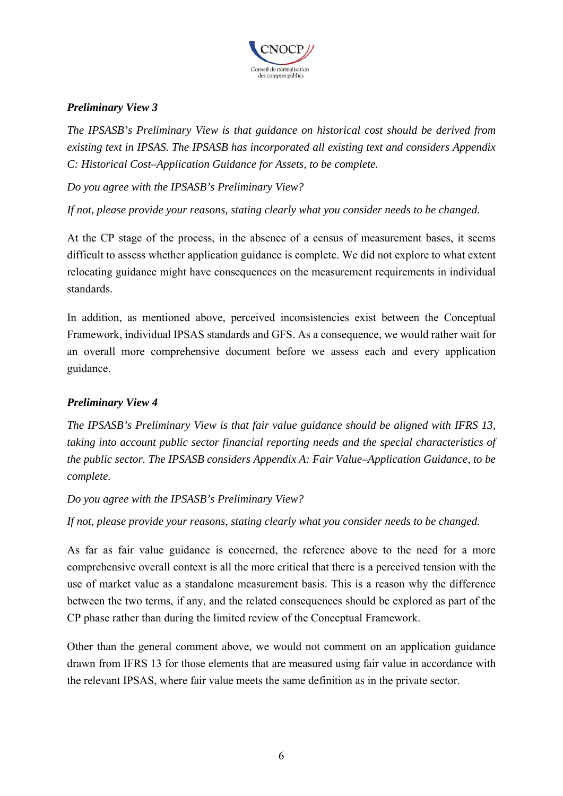

# *Preliminary View 3*

*The IPSASB's Preliminary View is that guidance on historical cost should be derived from existing text in IPSAS. The IPSASB has incorporated all existing text and considers Appendix C: Historical Cost–Application Guidance for Assets, to be complete.* 

*Do you agree with the IPSASB's Preliminary View?* 

*If not, please provide your reasons, stating clearly what you consider needs to be changed.* 

At the CP stage of the process, in the absence of a census of measurement bases, it seems difficult to assess whether application guidance is complete. We did not explore to what extent relocating guidance might have consequences on the measurement requirements in individual standards.

In addition, as mentioned above, perceived inconsistencies exist between the Conceptual Framework, individual IPSAS standards and GFS. As a consequence, we would rather wait for an overall more comprehensive document before we assess each and every application guidance.

# *Preliminary View 4*

*The IPSASB's Preliminary View is that fair value guidance should be aligned with IFRS 13, taking into account public sector financial reporting needs and the special characteristics of the public sector. The IPSASB considers Appendix A: Fair Value–Application Guidance, to be complete.* 

*Do you agree with the IPSASB's Preliminary View?* 

*If not, please provide your reasons, stating clearly what you consider needs to be changed.* 

As far as fair value guidance is concerned, the reference above to the need for a more comprehensive overall context is all the more critical that there is a perceived tension with the use of market value as a standalone measurement basis. This is a reason why the difference between the two terms, if any, and the related consequences should be explored as part of the CP phase rather than during the limited review of the Conceptual Framework.

Other than the general comment above, we would not comment on an application guidance drawn from IFRS 13 for those elements that are measured using fair value in accordance with the relevant IPSAS, where fair value meets the same definition as in the private sector.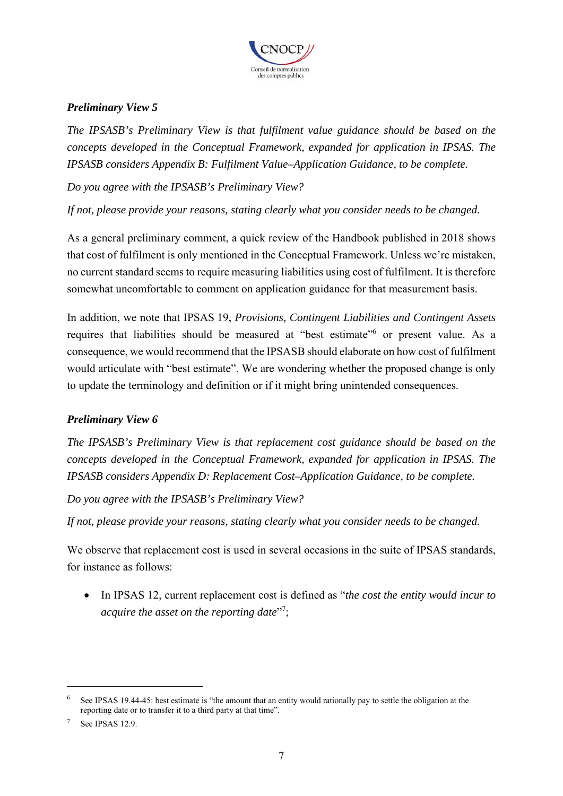

# *Preliminary View 5*

*The IPSASB's Preliminary View is that fulfilment value guidance should be based on the concepts developed in the Conceptual Framework, expanded for application in IPSAS. The IPSASB considers Appendix B: Fulfilment Value–Application Guidance, to be complete.* 

*Do you agree with the IPSASB's Preliminary View?* 

*If not, please provide your reasons, stating clearly what you consider needs to be changed.* 

As a general preliminary comment, a quick review of the Handbook published in 2018 shows that cost of fulfilment is only mentioned in the Conceptual Framework. Unless we're mistaken, no current standard seems to require measuring liabilities using cost of fulfilment. It is therefore somewhat uncomfortable to comment on application guidance for that measurement basis.

In addition, we note that IPSAS 19, *Provisions, Contingent Liabilities and Contingent Assets* requires that liabilities should be measured at "best estimate" or present value. As a consequence, we would recommend that the IPSASB should elaborate on how cost of fulfilment would articulate with "best estimate". We are wondering whether the proposed change is only to update the terminology and definition or if it might bring unintended consequences.

### *Preliminary View 6*

*The IPSASB's Preliminary View is that replacement cost guidance should be based on the concepts developed in the Conceptual Framework, expanded for application in IPSAS. The IPSASB considers Appendix D: Replacement Cost–Application Guidance, to be complete.* 

*Do you agree with the IPSASB's Preliminary View?* 

*If not, please provide your reasons, stating clearly what you consider needs to be changed.* 

We observe that replacement cost is used in several occasions in the suite of IPSAS standards, for instance as follows:

 In IPSAS 12, current replacement cost is defined as "*the cost the entity would incur to*  acquire the asset on the reporting date<sup>"7</sup>;

1

See IPSAS 19.44-45: best estimate is "the amount that an entity would rationally pay to settle the obligation at the reporting date or to transfer it to a third party at that time".

See IPSAS 12.9.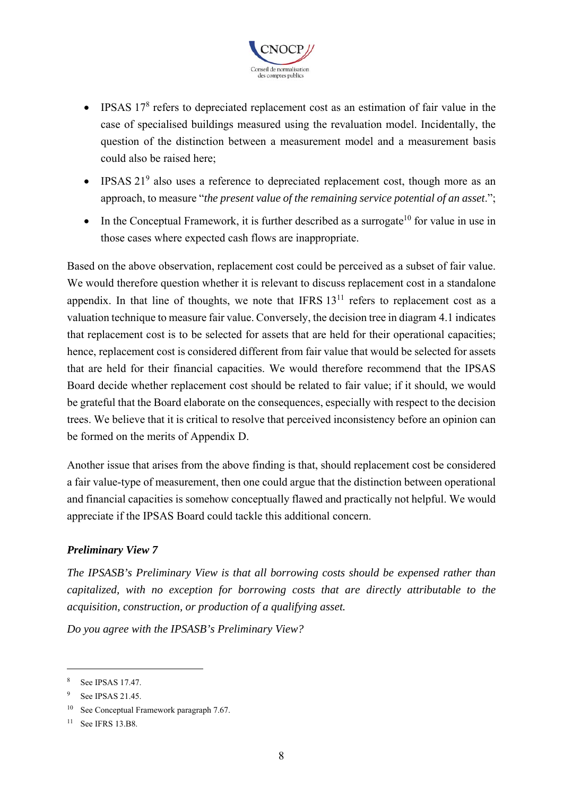

- $\bullet$  IPSAS 17<sup>8</sup> refers to depreciated replacement cost as an estimation of fair value in the case of specialised buildings measured using the revaluation model. Incidentally, the question of the distinction between a measurement model and a measurement basis could also be raised here;
- $\bullet$  IPSAS 21<sup>9</sup> also uses a reference to depreciated replacement cost, though more as an approach, to measure "*the present value of the remaining service potential of an asset*.";
- $\bullet$  In the Conceptual Framework, it is further described as a surrogate<sup>10</sup> for value in use in those cases where expected cash flows are inappropriate.

Based on the above observation, replacement cost could be perceived as a subset of fair value. We would therefore question whether it is relevant to discuss replacement cost in a standalone appendix. In that line of thoughts, we note that IFRS  $13<sup>11</sup>$  refers to replacement cost as a valuation technique to measure fair value. Conversely, the decision tree in diagram 4.1 indicates that replacement cost is to be selected for assets that are held for their operational capacities; hence, replacement cost is considered different from fair value that would be selected for assets that are held for their financial capacities. We would therefore recommend that the IPSAS Board decide whether replacement cost should be related to fair value; if it should, we would be grateful that the Board elaborate on the consequences, especially with respect to the decision trees. We believe that it is critical to resolve that perceived inconsistency before an opinion can be formed on the merits of Appendix D.

Another issue that arises from the above finding is that, should replacement cost be considered a fair value-type of measurement, then one could argue that the distinction between operational and financial capacities is somehow conceptually flawed and practically not helpful. We would appreciate if the IPSAS Board could tackle this additional concern.

### *Preliminary View 7*

*The IPSASB's Preliminary View is that all borrowing costs should be expensed rather than capitalized, with no exception for borrowing costs that are directly attributable to the acquisition, construction, or production of a qualifying asset.* 

*Do you agree with the IPSASB's Preliminary View?* 

1

<sup>8</sup> See IPSAS 17.47.

<sup>&</sup>lt;sup>9</sup> See IPSAS 21.45.

<sup>&</sup>lt;sup>10</sup> See Conceptual Framework paragraph 7.67.

<sup>11</sup> See IFRS 13.B8.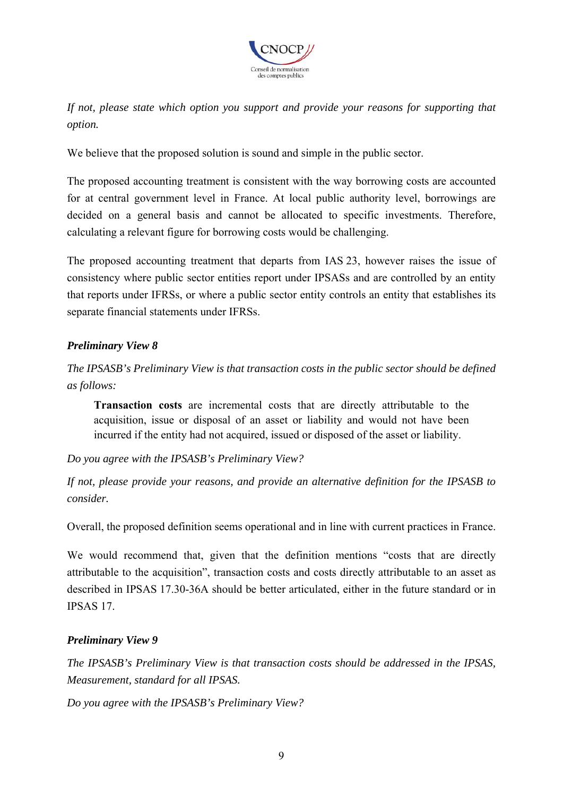

*If not, please state which option you support and provide your reasons for supporting that option.* 

We believe that the proposed solution is sound and simple in the public sector.

The proposed accounting treatment is consistent with the way borrowing costs are accounted for at central government level in France. At local public authority level, borrowings are decided on a general basis and cannot be allocated to specific investments. Therefore, calculating a relevant figure for borrowing costs would be challenging.

The proposed accounting treatment that departs from IAS 23, however raises the issue of consistency where public sector entities report under IPSASs and are controlled by an entity that reports under IFRSs, or where a public sector entity controls an entity that establishes its separate financial statements under IFRSs.

# *Preliminary View 8*

*The IPSASB's Preliminary View is that transaction costs in the public sector should be defined as follows:* 

**Transaction costs** are incremental costs that are directly attributable to the acquisition, issue or disposal of an asset or liability and would not have been incurred if the entity had not acquired, issued or disposed of the asset or liability.

*Do you agree with the IPSASB's Preliminary View?* 

*If not, please provide your reasons, and provide an alternative definition for the IPSASB to consider.* 

Overall, the proposed definition seems operational and in line with current practices in France.

We would recommend that, given that the definition mentions "costs that are directly attributable to the acquisition", transaction costs and costs directly attributable to an asset as described in IPSAS 17.30-36A should be better articulated, either in the future standard or in IPSAS 17.

# *Preliminary View 9*

*The IPSASB's Preliminary View is that transaction costs should be addressed in the IPSAS, Measurement, standard for all IPSAS.* 

*Do you agree with the IPSASB's Preliminary View?*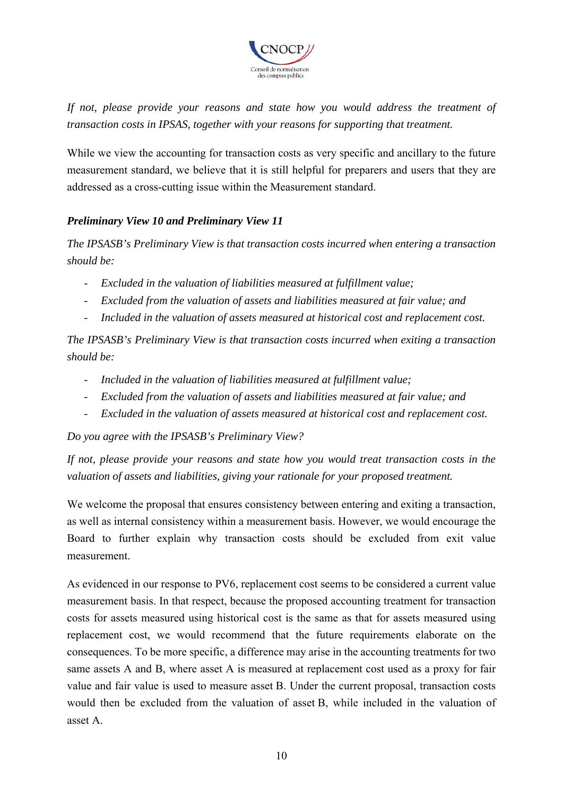

*If not, please provide your reasons and state how you would address the treatment of transaction costs in IPSAS, together with your reasons for supporting that treatment.* 

While we view the accounting for transaction costs as very specific and ancillary to the future measurement standard, we believe that it is still helpful for preparers and users that they are addressed as a cross-cutting issue within the Measurement standard.

# *Preliminary View 10 and Preliminary View 11*

*The IPSASB's Preliminary View is that transaction costs incurred when entering a transaction should be:* 

- *Excluded in the valuation of liabilities measured at fulfillment value;*
- *Excluded from the valuation of assets and liabilities measured at fair value; and*
- *Included in the valuation of assets measured at historical cost and replacement cost.*

*The IPSASB's Preliminary View is that transaction costs incurred when exiting a transaction should be:* 

- *Included in the valuation of liabilities measured at fulfillment value;*
- *Excluded from the valuation of assets and liabilities measured at fair value; and*
- *Excluded in the valuation of assets measured at historical cost and replacement cost.*

*Do you agree with the IPSASB's Preliminary View?* 

*If not, please provide your reasons and state how you would treat transaction costs in the valuation of assets and liabilities, giving your rationale for your proposed treatment.* 

We welcome the proposal that ensures consistency between entering and exiting a transaction, as well as internal consistency within a measurement basis. However, we would encourage the Board to further explain why transaction costs should be excluded from exit value measurement.

As evidenced in our response to PV6, replacement cost seems to be considered a current value measurement basis. In that respect, because the proposed accounting treatment for transaction costs for assets measured using historical cost is the same as that for assets measured using replacement cost, we would recommend that the future requirements elaborate on the consequences. To be more specific, a difference may arise in the accounting treatments for two same assets A and B, where asset A is measured at replacement cost used as a proxy for fair value and fair value is used to measure asset B. Under the current proposal, transaction costs would then be excluded from the valuation of asset B, while included in the valuation of asset A.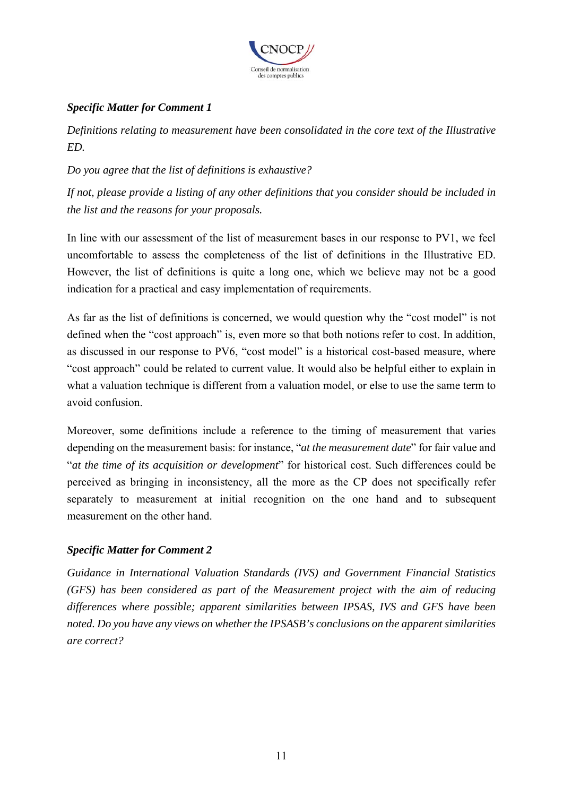

# *Specific Matter for Comment 1*

*Definitions relating to measurement have been consolidated in the core text of the Illustrative ED.* 

*Do you agree that the list of definitions is exhaustive?* 

*If not, please provide a listing of any other definitions that you consider should be included in the list and the reasons for your proposals.* 

In line with our assessment of the list of measurement bases in our response to PV1, we feel uncomfortable to assess the completeness of the list of definitions in the Illustrative ED. However, the list of definitions is quite a long one, which we believe may not be a good indication for a practical and easy implementation of requirements.

As far as the list of definitions is concerned, we would question why the "cost model" is not defined when the "cost approach" is, even more so that both notions refer to cost. In addition, as discussed in our response to PV6, "cost model" is a historical cost-based measure, where "cost approach" could be related to current value. It would also be helpful either to explain in what a valuation technique is different from a valuation model, or else to use the same term to avoid confusion.

Moreover, some definitions include a reference to the timing of measurement that varies depending on the measurement basis: for instance, "*at the measurement date*" for fair value and "*at the time of its acquisition or development*" for historical cost. Such differences could be perceived as bringing in inconsistency, all the more as the CP does not specifically refer separately to measurement at initial recognition on the one hand and to subsequent measurement on the other hand.

# *Specific Matter for Comment 2*

*Guidance in International Valuation Standards (IVS) and Government Financial Statistics (GFS) has been considered as part of the Measurement project with the aim of reducing differences where possible; apparent similarities between IPSAS, IVS and GFS have been noted. Do you have any views on whether the IPSASB's conclusions on the apparent similarities are correct?*